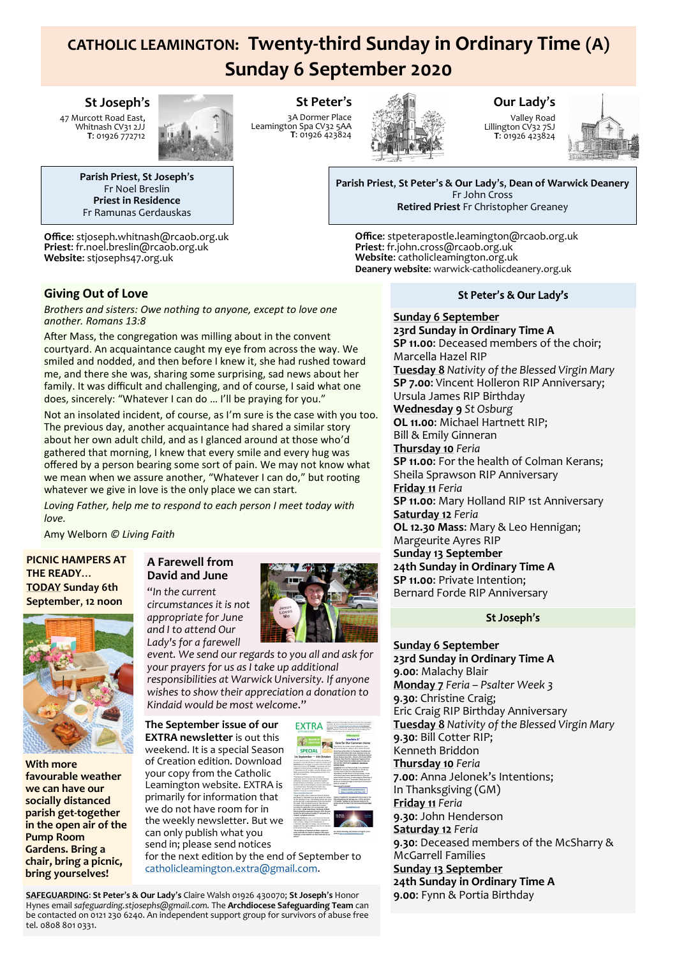# **CATHOLIC LEAMINGTON: Twenty-third Sunday in Ordinary Time (A) Sunday 6 September 2020**

**St Peter**'**s** 3A Dormer Place Leamington Spa CV32 5AA **T**: 01926 423824

## **St Joseph**'**s**

47 Murcott Road East, Whitnash CV31 2JJ **T**: 01926 772712



**Parish Priest**, **St Joseph**'**s** Fr Noel Breslin **Priest in Residence** Fr Ramunas Gerdauskas

**Office**: stjoseph.whitnash@rcaob.org.uk **Priest**: fr.noel.breslin@rcaob.org.uk **Website**: stjosephs47.org.uk

## **Giving Out of Love**

*Brothers and sisters: Owe nothing to anyone, except to love one another. Romans 13:8*

After Mass, the congregation was milling about in the convent courtyard. An acquaintance caught my eye from across the way. We smiled and nodded, and then before I knew it, she had rushed toward me, and there she was, sharing some surprising, sad news about her family. It was difficult and challenging, and of course, I said what one does, sincerely: "Whatever I can do … I'll be praying for you."

Not an insolated incident, of course, as I'm sure is the case with you too. The previous day, another acquaintance had shared a similar story about her own adult child, and as I glanced around at those who'd gathered that morning, I knew that every smile and every hug was offered by a person bearing some sort of pain. We may not know what we mean when we assure another, "Whatever I can do," but rooting whatever we give in love is the only place we can start.

*Loving Father, help me to respond to each person I meet today with love.*

Amy Welborn *© Living Faith*

#### **PICNIC HAMPERS AT THE READY**… **TODAY Sunday 6th September**, **12 noon**



**With more favourable weather we can have our socially distanced parish get-together in the open air of the Pump Room Gardens. Bring a chair, bring a picnic, bring yourselves!**

## **A Farewell from David and June**

"*In the current circumstances it is not appropriate for June and I to attend Our Lady's for a farewell* 



*event. We send our regards to you all and ask for your prayers for us as I take up additional responsibilities at Warwick University. If anyone wishes to show their appreciation a donation to Kindaid would be most welcome*."

**The September issue of our EXTRA newsletter** is out this weekend. It is a special Season of Creation edition. Download your copy from the Catholic Leamington website. EXTRA is primarily for information that we do not have room for in the weekly newsletter. But we can only publish what you send in; please send notices

 $EXTRA \equiv$ 

(学): **SPECIA**  Enterpressional<br>Lavedato S/<br>Care for Our Comm

for the next edition by the end of September to [catholicleamington.extra@gmail.com.](mailto:catholicleamington.extra@gmail.com) 

**SAFEGUARDING**: **St Peter**'**s & Our Lady**'**s** Claire Walsh 01926 430070; **St Joseph**'**s** Honor Hynes email *safeguarding.stjosephs@gmail.com.* The **Archdiocese Safeguarding Team** can be contacted on 0121 230 6240. An independent support group for survivors of abuse free tel. 0808 801 0331.

# **Our Lady**'**s**

Valley Road Lillington CV32 7SJ **T**: 01926 423824



**Parish Priest**, **St Peter**'**s & Our Lady**'**s**, **Dean of Warwick Deanery** Fr John Cross **Retired Priest** Fr Christopher Greaney

**Office**: stpeterapostle.leamington@rcaob.org.uk **Priest**: fr.john.cross@rcaob.org.uk **Website**: catholicleamington.org.uk **Deanery website**: warwick-[catholicdeanery.org.uk](https://eur01.safelinks.protection.outlook.com/?url=http%3A%2F%2Fwarwick-catholicdeanery.org.uk%2Fnewsletter-sign-up%2F&data=02%7C01%7C%7C721285f1bfe64a92393d08d7a351cd53%7C84df9e7fe9f640afb435aaaaaaaaaaaa%7C1%7C0%7C637157444038479073&sdata=wJyzCzyquvWm6KYBMn)

## St Peter's & Our Lady's

#### **Sunday 6 September 23rd Sunday in Ordinary Time A**

**SP 11.00**: Deceased members of the choir; Marcella Hazel RIP **Tuesday 8** *Nativity of the Blessed Virgin Mary* **SP 7.00**: Vincent Holleron RIP Anniversary; Ursula James RIP Birthday **Wednesday 9** *St Osburg* **OL 11.00**: Michael Hartnett RIP; Bill & Emily Ginneran **Thursday 10** *Feria* **SP 11.00**: For the health of Colman Kerans;

Sheila Sprawson RIP Anniversary **Friday 11** *Feria*

**SP 11.00**: Mary Holland RIP 1st Anniversary **Saturday 12** *Feria*

**OL 12.30 Mass**: Mary & Leo Hennigan; Margeurite Ayres RIP **Sunday 13 September 24th Sunday in Ordinary Time A**

**SP 11.00**: Private Intention; Bernard Forde RIP Anniversary

### St Joseph's

### **Sunday 6 September**

**23rd Sunday in Ordinary Time A 9**.**00**: Malachy Blair **Monday 7** *Feria – Psalter Week 3* **9**.**30**: Christine Craig; Eric Craig RIP Birthday Anniversary **Tuesday 8** *Nativity of the Blessed Virgin Mary* **9**.**30**: Bill Cotter RIP; Kenneth Briddon **Thursday 10** *Feria* **7**.**00**: Anna Jelonek's Intentions; In Thanksgiving (GM) **Friday 11** *Feria* **9**.**30**: John Henderson **Saturday 12** *Feria* **9**.**30**: Deceased members of the McSharry & McGarrell Families **Sunday 13 September**

**24th Sunday in Ordinary Time A 9**.**00**: Fynn & Portia Birthday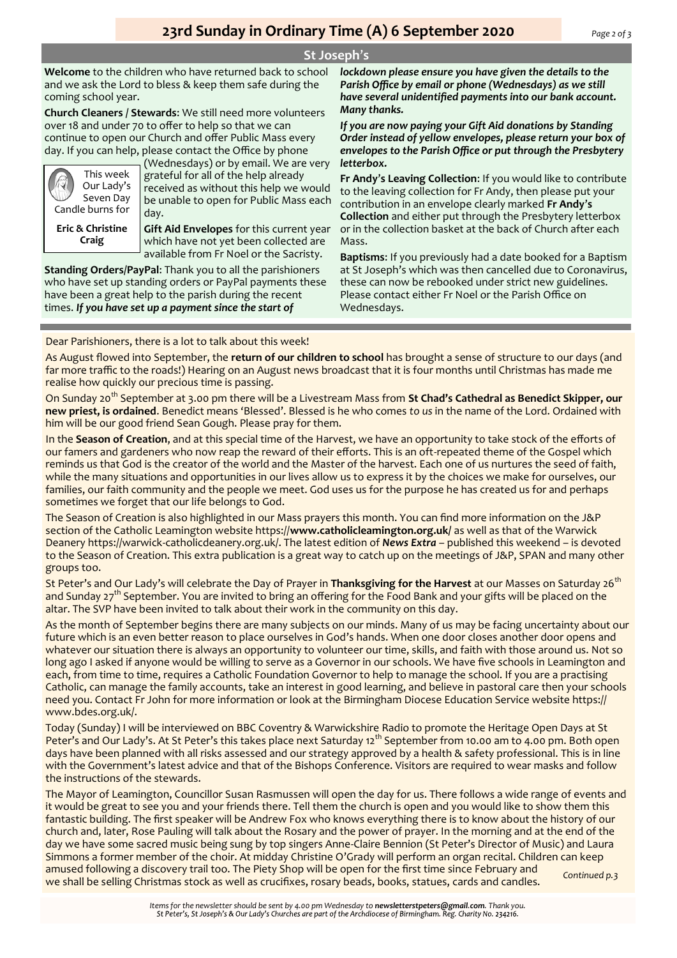## **St Joseph**'**s**

**Welcome** to the children who have returned back to school and we ask the Lord to bless & keep them safe during the coming school year.

**Church Cleaners / Stewards**: We still need more volunteers over 18 and under 70 to offer to help so that we can continue to open our Church and offer Public Mass every day. If you can help, please contact the Office by phone



(Wednesdays) or by email. We are very grateful for all of the help already received as without this help we would be unable to open for Public Mass each day.

**Eric & Christine Craig**

**Gift Aid Envelopes** for this current year which have not yet been collected are available from Fr Noel or the Sacristy.

**Standing Orders/PayPal**: Thank you to all the parishioners who have set up standing orders or PayPal payments these have been a great help to the parish during the recent times. *If you have set up a payment since the start of* 

*lockdown please ensure you have given the details to the Parish Office by email or phone (Wednesdays) as we still have several unidentified payments into our bank account. Many thanks.* 

*If you are now paying your Gift Aid donations by Standing Order instead of yellow envelopes, please return your box of envelopes to the Parish Office or put through the Presbytery letterbox.*

**Fr Andy**'**s Leaving Collection**: If you would like to contribute to the leaving collection for Fr Andy, then please put your contribution in an envelope clearly marked **Fr Andy**'**s Collection** and either put through the Presbytery letterbox or in the collection basket at the back of Church after each Mass.

**Baptisms**: If you previously had a date booked for a Baptism at St Joseph's which was then cancelled due to Coronavirus, these can now be rebooked under strict new guidelines. Please contact either Fr Noel or the Parish Office on Wednesdays.

Dear Parishioners, there is a lot to talk about this week!

As August flowed into September, the **return of our children to school** has brought a sense of structure to our days (and far more traffic to the roads!) Hearing on an August news broadcast that it is four months until Christmas has made me realise how quickly our precious time is passing.

On Sunday 20th September at 3.00 pm there will be a Livestream Mass from **St Chad's Cathedral as Benedict Skipper, our new priest, is ordained**. Benedict means 'Blessed'. Blessed is he who comes *to us* in the name of the Lord. Ordained with him will be our good friend Sean Gough. Please pray for them.

In the **Season of Creation**, and at this special time of the Harvest, we have an opportunity to take stock of the efforts of our famers and gardeners who now reap the reward of their efforts. This is an oft-repeated theme of the Gospel which reminds us that God is the creator of the world and the Master of the harvest. Each one of us nurtures the seed of faith, while the many situations and opportunities in our lives allow us to express it by the choices we make for ourselves, our families, our faith community and the people we meet. God uses us for the purpose he has created us for and perhaps sometimes we forget that our life belongs to God.

The Season of Creation is also highlighted in our Mass prayers this month. You can find more information on the J&P section of the Catholic Leamington website https://**www.catholicleamington.org.uk/** as well as that of the Warwick Deanery https://warwick-catholicdeanery.org.uk/. The latest edition of *News Extra* – published this weekend – is devoted to the Season of Creation. This extra publication is a great way to catch up on the meetings of J&P, SPAN and many other groups too.

St Peter's and Our Lady's will celebrate the Day of Prayer in **Thanksgiving for the Harvest** at our Masses on Saturday 26th and Sunday 27<sup>th</sup> September. You are invited to bring an offering for the Food Bank and your gifts will be placed on the altar. The SVP have been invited to talk about their work in the community on this day.

As the month of September begins there are many subjects on our minds. Many of us may be facing uncertainty about our future which is an even better reason to place ourselves in God's hands. When one door closes another door opens and whatever our situation there is always an opportunity to volunteer our time, skills, and faith with those around us. Not so long ago I asked if anyone would be willing to serve as a Governor in our schools. We have five schools in Leamington and each, from time to time, requires a Catholic Foundation Governor to help to manage the school. If you are a practising Catholic, can manage the family accounts, take an interest in good learning, and believe in pastoral care then your schools need you. Contact Fr John for more information or look at the Birmingham Diocese Education Service website https:// www.bdes.org.uk/.

Today (Sunday) I will be interviewed on BBC Coventry & Warwickshire Radio to promote the Heritage Open Days at St Peter's and Our Lady's. At St Peter's this takes place next Saturday 12<sup>th</sup> September from 10.00 am to 4.00 pm. Both open days have been planned with all risks assessed and our strategy approved by a health & safety professional. This is in line with the Government's latest advice and that of the Bishops Conference. Visitors are required to wear masks and follow the instructions of the stewards.

The Mayor of Leamington, Councillor Susan Rasmussen will open the day for us. There follows a wide range of events and it would be great to see you and your friends there. Tell them the church is open and you would like to show them this fantastic building. The first speaker will be Andrew Fox who knows everything there is to know about the history of our church and, later, Rose Pauling will talk about the Rosary and the power of prayer. In the morning and at the end of the day we have some sacred music being sung by top singers Anne-Claire Bennion (St Peter's Director of Music) and Laura Simmons a former member of the choir. At midday Christine O'Grady will perform an organ recital. Children can keep amused following a discovery trail too. The Piety Shop will be open for the first time since February and we shall be selling Christmas stock as well as crucifixes, rosary beads, books, statues, cards and candles. *Continued p.3*